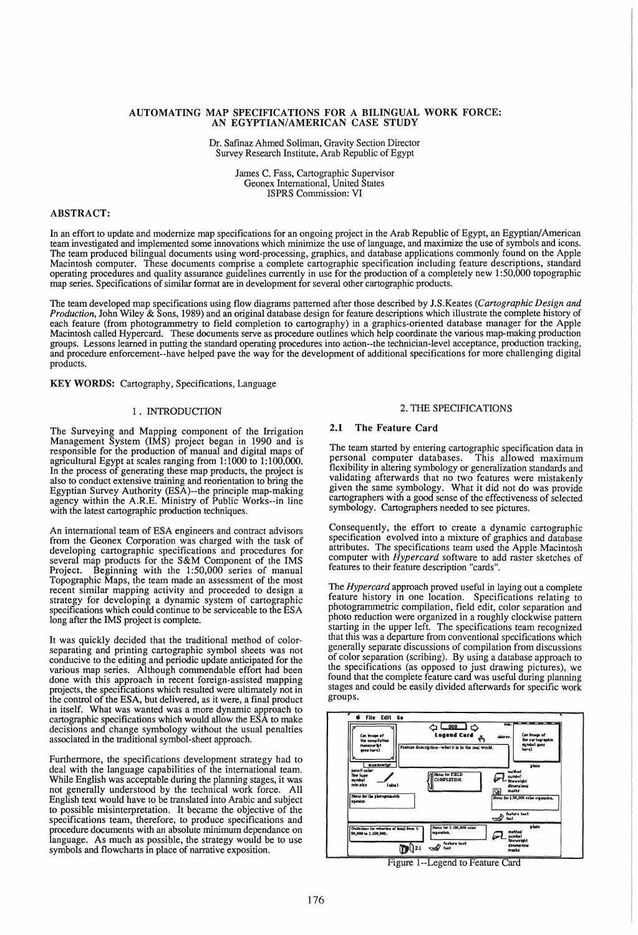## AUTOMATING MAP SPECIFICATIONS FOR A BILINGUAL WORK FORCE: AN EGYPTIAN/AMERICAN CASE STUDY

Dr. Safmaz Ahmed Soliman, Gravity Section Director Survey Research Institute, Arab Republic of Egypt

> James C. Fass, Cartographic Supervisor Geonex International, United States ISPRS Commission: VI

## ABSTRACT:

In an effort to update and modernize map specifications for an ongoing project in the Arab Republic of Egypt, an Egyptian/American team investigated and implemented some innovations which minimize the use of language, and maximize the use of symbols and icons. The team produced bilingual documents using word-processing, graphics, and database applications commonly found on the Apple Macintosh computer. These documents comprise a complete cartographic specification including feature descriptions, standard operating procedures and quality assurance guidelines currently in use for the production of a completely new 1 :50,000 topographic map series. Specifications of similar format are in development for several other cartographic products.

The team developed map specifications using flow diagrams patterned after those described by lS.Keates *(Cartographic Design and Production,* John Wiley & Sons, 1989) and an original database design for feature descriptions which illustrate the complete history of each. feature (from photogrammetry to field completion to cartography) in a graphics-oriented database manager for the Apple Macmtosh called Hypercard. These documents serve as procedure outlines which help coordinate the various map-making production groups. Lessons learned in putting the standard operating procedures into action--the technician-level acceptance, production tracking, and procedure enforcement--have helped pave the way for the development of additional specifications for more challenging digital products.

KEY WORDS: Cartography, Specifications, Language

#### 1 . INTRODUCTION

The Surveying and Mapping component of the Irrigation Management System (IMS) project began in 1990 and is responsible for the production of manual and digital maps of agricultural Egypt at scales ranging from 1:1000 to 1:100,000. In the process of generating these map products, the project is also to conduct extensive training and reorientation to bring the Egyptian Survey Authority (ESA)--the principle map-making agency within the A.R.E. Ministry of Public Works--in line with the latest cartographic production techniques.

An international team of ESA engineers and contract advisors from the Geonex Corporation was charged with the task of developing cartographic specifications and procedures for several map products for the S&M Component of the IMS Project. Beginning with the 1:50,000 series of manual Topographic Maps, the team made an assessment of the most recent similar mapping activity and proceeded to design a strategy for developing a dynamic system of cartographic specifications which could continue to be serviceable to the ESA long after the IMS project is complete.

It was quickly decided that the traditional method of colorseparating and printing cartographic symbol sheets was not conducive to the editing and periodic update anticipated for the various map series. Although commendable effort had been done with this approach in recent foreign-assisted mapping projects, the specifications which resulted were ultimately not in the control of the ESA, but delivered, as it were, a final product in itself. What was wanted was a more dynamic approach to cartographic specifications which would allow the ESA to make decisions and change symbology without the usual penalties associated in the traditional symbol-sheet approach.

Furthermore, the specifications development strategy had to deal with the language capabilities of the international team. While English was acceptable during the planning stages, it was not generally understood by the technical work force. All English text would have to be translated into Arabic and subject to possible misinterpretation. It became the objective of the specifications team, therefore, to produce specifications and procedure documents with an absolute minimum dependance on language. As much as possible, the strategy would be to use symbols and flowcharts in place of narrative exposition.

#### 2. THE SPECIFICATIONS

## 2.1 The Feature Card

The team started by entering cartographic specification data in personal computer databases. This allowed maximum flexibility in altering symbology or generalization standards and validating afterwards that no two features were mistakenly given the same symbology. What it did not do was provide cartographers with a good sense of the effectiveness of selected symbology. Cartographers needed to see pictures.

Consequently, the effort to create a dynamic cartographic specification evolved into a mixture of graphics and database attributes. The specifications team used the Apple Macintosh computer with *Hypercard* software to add raster sketches of features to their feature description "cards".

The *Hypercard* approach proved useful in laying out a complete feature history in one location. Specifications relating to photogrammetric compilation, field edit, color separation and photo reduction were organized in a roughly clockwise pattern starting in the upper left. The specifications team recognized that this was a departure from conventional specifications which generally separate discussions of compilation from discussions of color separation (scribing). By using a database approach to the specifications (as opposed to just drawing pictures), we found that the complete feature card was useful during planning stages and could be easily divided afterwards for specific work groups.



FIgure l--Legend to Feature Card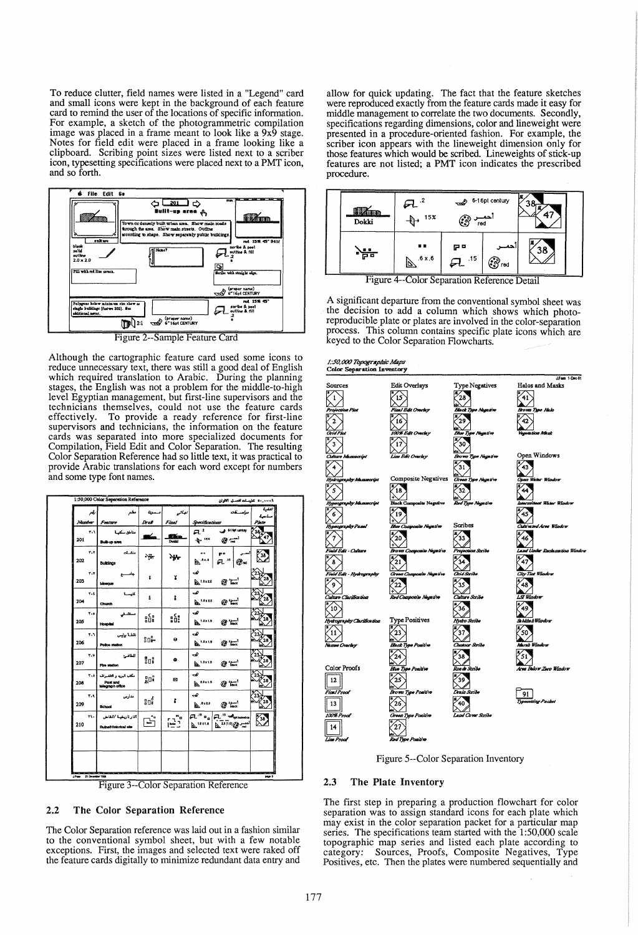To reduce clutter, field names were listed in a "Legend" card and small icons were kept in the background of each feature card to remind the user of the locations of specific information. For example, a sketch of the photogrammetric compilation image was placed in a frame meant to look like a 9x9 stage. Notes for field edit were placed in a frame looking like a clipboard. Scribing point sizes were listed next to a scriber icon, typesetting specifications were placed next to a PMT icon, and so forth.



Figure 2--Sample Feature Card

Although the cartographic feature card used some icons to reduce unnecessary text, there was still a good deal of English which required translation to Arabic. During the planning stages, the English was not a problem for the middle-to-high level Egyptian management, but first-line supervisors and the technicians themselves, could not use the feature cards effectively. To provide a ready reference for first-line supervisors and technicians, the information on the feature cards was separated into more specialized documents for Compilation, Field Edit and Color Separation. The resulting Color Separation Reference had so little text, it was practical to provide Arabic translations for each word except for numbers and some type font names.

|                | 1:50,000 Color Separation Reference                    | ٠٠٠٠٠١١ تطيعناه الصبل القوان | تنقية                    |                                                                                              |      |
|----------------|--------------------------------------------------------|------------------------------|--------------------------|----------------------------------------------------------------------------------------------|------|
| ŕ              | مطم                                                    | ميم                          | زجاتى                    | مەسسىغەت                                                                                     | ساحة |
| Namber         | Feature                                                | Drak                         | Final                    | Specifications<br>Plute                                                                      |      |
| ۲۰۱<br>201     | مناطق سكنيسة<br>Bulk-up area                           | ๔                            | 91<br>r.<br><b>Doldd</b> | $a^{\prime}$<br>$\circ$ $\rightleftharpoons$<br>$-6.15x$                                     |      |
| ۲.۲<br>202     | منشبات<br><b>Buildings</b>                             | ٠₩                           | ₩                        | p۰<br>38<br>.15<br>6. X I<br>⊕°nd<br>b                                                       |      |
| ۲۰۳<br>203     | جاء<br>Mosque                                          | x                            | X                        | مــ<br>$63$ back<br>1.0120                                                                   |      |
| $Y - 5$<br>204 | كنيب<br>Church                                         | ô                            | t                        | ↩<br>$A^{1.8 \times 2.0}$<br>$\omega$                                                        | 28   |
| ٢٠٥<br>205     | مستثد<br>Hospital                                      | រូប៉ូ                        | :ů:                      | صہ<br>$\mathbb{R}^{12x15}$<br>$x -$                                                          |      |
| ۲۰٦<br>206     | نقطة بوليس<br>Police station                           | -10                          | Θ                        | ᢦ<br>$G$ and $T$<br>$A^{1.5 \times 1.5}$                                                     | 28   |
| $T-V$<br>207   | الماضئ<br>Fire station                                 | ទីបូទី                       | ۰                        | مت<br>$A^{1.5 \times 1.5}$<br>a ta                                                           |      |
| ۲۰۸<br>208     | مكتب البريد و التلفواف<br>Post and<br>telegraph office | <b>g</b> D និ                | Ø                        | ↩<br>$\mathbb{B}^{t \cdot s \cdot t \cdot s}$<br>$\mathbb{G}$ back                           |      |
| ۳۰۹<br>209     | مدارس<br><b>School</b>                                 | ទី១                          | t                        | ھ<br>اسىزد<br>Nack<br>$\mathbf{a}$ . $\mathbf{a}$<br>СB                                      |      |
| ۲۱.<br>210     | أثار تاريخية /انقاص<br>Rulns/Historical site           | °a<br>ŀ                      | ۹°م<br>$\frac{1}{2}$     | a".<br>EL <sup>-15</sup> voltation<br>$x_3$<br>$\mathbb{R}^{11 \times 1.0}$<br>201.0168<br>А |      |
|                |                                                        |                              |                          |                                                                                              |      |
|                |                                                        |                              |                          | <b>Distance of the Empire States and States and States and States and States</b>             |      |

Figure 3--Color Separation Reference

# 2.2 The Color Separation Reference

The Color Separation reference was laid out in a fashion similar to the conventional symbol sheet, but with a few notable exceptions. First, the images and selected text were raked off the feature cards digitally to minimize redundant data entry and

allow for quick updating. The fact that the feature sketches were reproduced exactly from the feature cards made it easy for middle management to correlate the two documents. Secondly, specifications regarding dimensions, color and lineweight were presented in a procedure-oriented fashion. For example, the scriber icon appears with the lineweight dimension only for those features which would be scribed. Lineweights of stick-up features are not listed; a PMT icon indicates the prescribed procedure.



Figure 4--Color Separation Reference Detail

A significant departure from the conventional symbol sheet was the decision to add a column which shows which photoreproducible plate or plates are involved in the color-separation process. This column contains specific plate icons which are keyed to the Color Separation Flowcharts.



Figure 5--Color Separation Inventory

#### 2.3 The Plate Inventory

The first step in preparing a production flowchart for color separation was to assign standard icons for each plate which may exist in the color separation packet for a particular map series. The specifications team started with the 1:50,000 scale topographic map series and listed each plate according to category: Sources, Proofs, Composite Negatives, Type Positives, etc. Then the plates were numbered sequentially and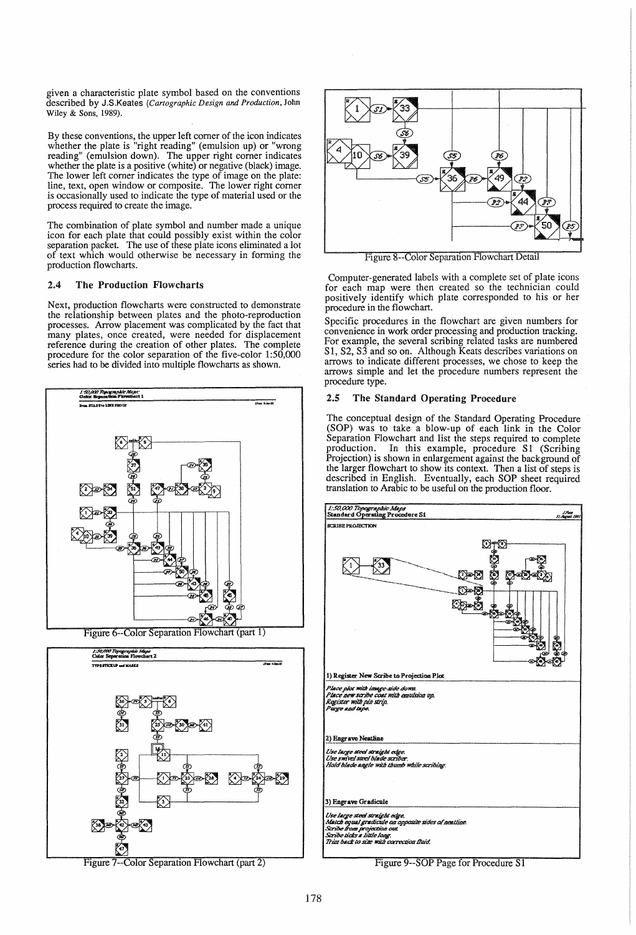given a characteristic plate symbol based on the conventions described by J.S.Keates *(Cartographic Design and Production,* John Wiley & Sons, 1989).

By these conventions, the upper left comer of the icon indicates whether the plate is "right reading" (emulsion up) or "wrong reading" (emulsion down). The upper right comer indicates whether the plate is a positive (white) or negative (black) image. The lower left comer indicates the type of image on the plate: line, text, open window or composite. The lower right comer is occasionally used to indicate the type of material used or the process required to create the image.

The combination of plate symbol and number made a unique icon for each plate that could possibly exist within the color separation packet. The use of these plate icons eliminated a lot of text which would otherwise be necessary in forming the production flowcharts.

### 2.4 The Production Flowcharts

Next, production flowcharts were constructed to demonstrate the relationship between plates and the photo-reproduction processes. Arrow placement was complicated by the fact that many plates, once created, were needed for displacement reference during the creation of other plates. The complete procedure for the color separation of the five-color 1:50,000 series had to be divided into multiple flowcharts as shown.



Figure 6--Color Separation Flowchart (part 1)



Figure 7 --Color Separation Flowchart (part 2)



Figure 8--Color Separation Flowchart Detail

Computer-generated labels with a complete set of plate icons for each map were then created so the technician could positively identify which plate corresponded to his or her procedure in the flowchart.

Specific procedures in the flowchart are given numbers for convenience in work order processing and production tracking. For example, the several scribing related tasks are numbered S1, S2, S3 and so on. Although Keats describes variations on arrows to indicate different processes, we chose to keep the arrows simple and let the procedure numbers represent the procedure type.

#### *2.S* The Standard Operating Procedure

The conceptual design of the Standard Operating Procedure (SOP) was to take a blow-up of each link in the Color Separation Flowchart and list the steps required to complete production. In this example, procedure S1 (Scribing Projection) is shown in enlargement against the background of the larger flowchart to show its context. Then a list of steps is described in English. Eventually, each SOP sheet required translation to Arabic to be useful on the production floor.



Figure 9--SOP Page for Procedure S1